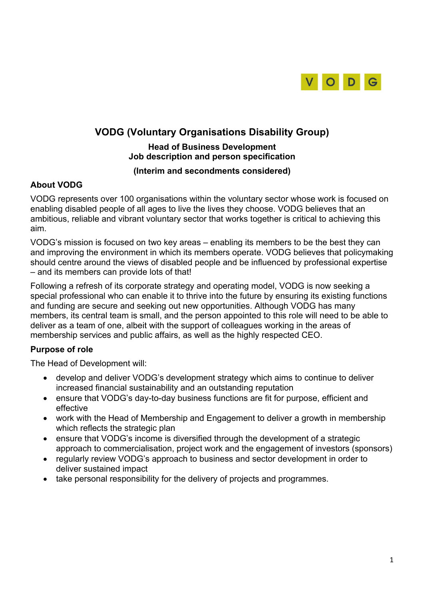

# **VODG (Voluntary Organisations Disability Group)**

## **Head of Business Development Job description and person specification**

#### **(Interim and secondments considered)**

## **About VODG**

VODG represents over 100 organisations within the voluntary sector whose work is focused on enabling disabled people of all ages to live the lives they choose. VODG believes that an ambitious, reliable and vibrant voluntary sector that works together is critical to achieving this aim.

VODG's mission is focused on two key areas – enabling its members to be the best they can and improving the environment in which its members operate. VODG believes that policymaking should centre around the views of disabled people and be influenced by professional expertise – and its members can provide lots of that!

Following a refresh of its corporate strategy and operating model, VODG is now seeking a special professional who can enable it to thrive into the future by ensuring its existing functions and funding are secure and seeking out new opportunities. Although VODG has many members, its central team is small, and the person appointed to this role will need to be able to deliver as a team of one, albeit with the support of colleagues working in the areas of membership services and public affairs, as well as the highly respected CEO.

## **Purpose of role**

The Head of Development will:

- develop and deliver VODG's development strategy which aims to continue to deliver increased financial sustainability and an outstanding reputation
- ensure that VODG's day-to-day business functions are fit for purpose, efficient and effective
- work with the Head of Membership and Engagement to deliver a growth in membership which reflects the strategic plan
- ensure that VODG's income is diversified through the development of a strategic approach to commercialisation, project work and the engagement of investors (sponsors)
- regularly review VODG's approach to business and sector development in order to deliver sustained impact
- take personal responsibility for the delivery of projects and programmes.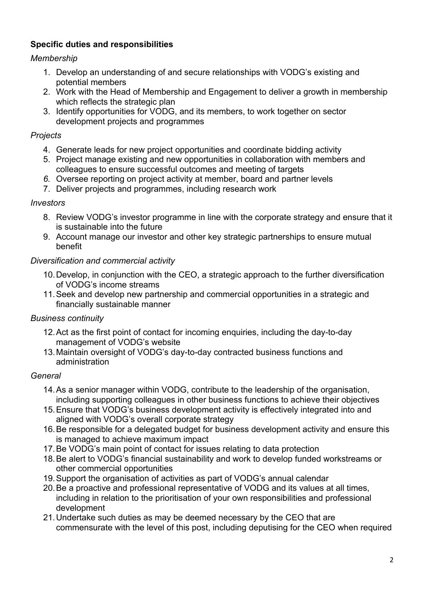## **Specific duties and responsibilities**

## *Membership*

- 1. Develop an understanding of and secure relationships with VODG's existing and potential members
- 2. Work with the Head of Membership and Engagement to deliver a growth in membership which reflects the strategic plan
- 3. Identify opportunities for VODG, and its members, to work together on sector development projects and programmes

## *Projects*

- 4. Generate leads for new project opportunities and coordinate bidding activity
- 5. Project manage existing and new opportunities in collaboration with members and colleagues to ensure successful outcomes and meeting of targets
- *6.* Oversee reporting on project activity at member, board and partner levels
- 7. Deliver projects and programmes, including research work

#### *Investors*

- 8. Review VODG's investor programme in line with the corporate strategy and ensure that it is sustainable into the future
- 9. Account manage our investor and other key strategic partnerships to ensure mutual benefit

## *Diversification and commercial activity*

- 10.Develop, in conjunction with the CEO, a strategic approach to the further diversification of VODG's income streams
- 11.Seek and develop new partnership and commercial opportunities in a strategic and financially sustainable manner

## *Business continuity*

- 12.Act as the first point of contact for incoming enquiries, including the day-to-day management of VODG's website
- 13.Maintain oversight of VODG's day-to-day contracted business functions and administration

## *General*

- 14.As a senior manager within VODG, contribute to the leadership of the organisation, including supporting colleagues in other business functions to achieve their objectives
- 15.Ensure that VODG's business development activity is effectively integrated into and aligned with VODG's overall corporate strategy
- 16.Be responsible for a delegated budget for business development activity and ensure this is managed to achieve maximum impact
- 17.Be VODG's main point of contact for issues relating to data protection
- 18.Be alert to VODG's financial sustainability and work to develop funded workstreams or other commercial opportunities
- 19.Support the organisation of activities as part of VODG's annual calendar
- 20.Be a proactive and professional representative of VODG and its values at all times, including in relation to the prioritisation of your own responsibilities and professional development
- 21.Undertake such duties as may be deemed necessary by the CEO that are commensurate with the level of this post, including deputising for the CEO when required